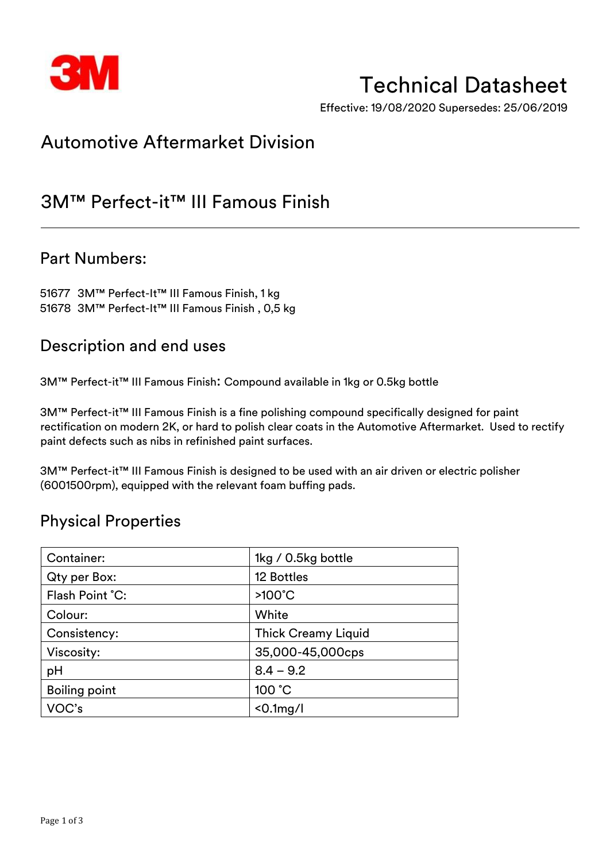

# Technical Datasheet

Effective: 19/08/2020 Supersedes: 25/06/2019

# Automotive Aftermarket Division

## 3M™ Perfect-it™ III Famous Finish

### Part Numbers:

51677 3M™ Perfect-It™ III Famous Finish, 1 kg 51678 3M™ Perfect-It™ III Famous Finish , 0,5 kg

## Description and end uses

3M™ Perfect-it™ III Famous Finish: Compound available in 1kg or 0.5kg bottle

3M™ Perfect-it™ III Famous Finish is a fine polishing compound specifically designed for paint rectification on modern 2K, or hard to polish clear coats in the Automotive Aftermarket. Used to rectify paint defects such as nibs in refinished paint surfaces.

3M™ Perfect-it™ III Famous Finish is designed to be used with an air driven or electric polisher (6001500rpm), equipped with the relevant foam buffing pads.

## Physical Properties

| Container:           | 1kg / 0.5kg bottle         |  |
|----------------------|----------------------------|--|
| Qty per Box:         | 12 Bottles                 |  |
| Flash Point °C:      | $>100^{\circ}$ C           |  |
| Colour:              | White                      |  |
| Consistency:         | <b>Thick Creamy Liquid</b> |  |
| Viscosity:           | 35,000-45,000cps           |  |
| pH                   | $8.4 - 9.2$                |  |
| <b>Boiling point</b> | 100 °C                     |  |
| VOC's                | $< 0.1$ mg/l               |  |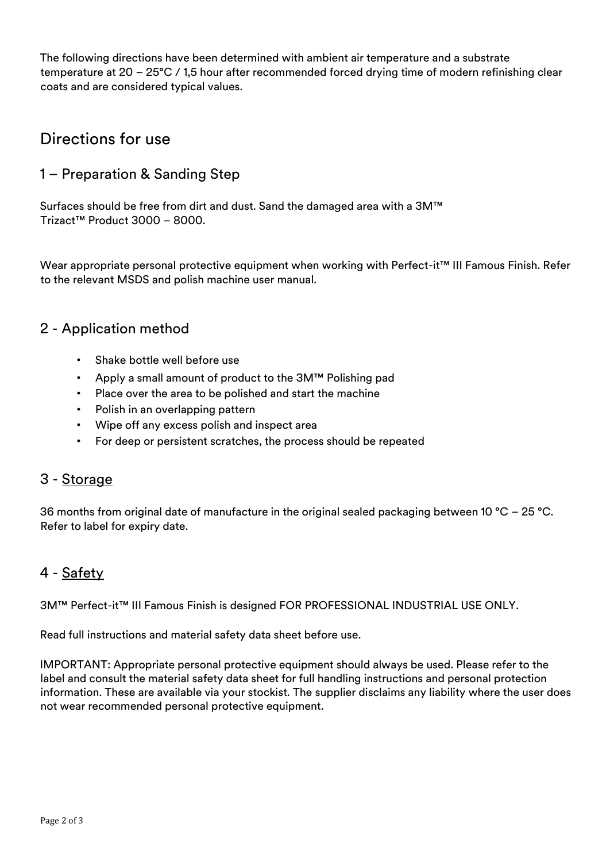The following directions have been determined with ambient air temperature and a substrate temperature at 20 – 25°C / 1,5 hour after recommended forced drying time of modern refinishing clear coats and are considered typical values.

## Directions for use

#### 1 – Preparation & Sanding Step

Surfaces should be free from dirt and dust. Sand the damaged area with a 3M™ Trizact™ Product 3000 – 8000.

Wear appropriate personal protective equipment when working with Perfect-it™ III Famous Finish. Refer to the relevant MSDS and polish machine user manual.

#### 2 - Application method

- Shake bottle well before use
- Apply a small amount of product to the 3M™ Polishing pad
- Place over the area to be polished and start the machine
- Polish in an overlapping pattern
- Wipe off any excess polish and inspect area
- For deep or persistent scratches, the process should be repeated

#### 3 - Storage

36 months from original date of manufacture in the original sealed packaging between 10 °C – 25 °C. Refer to label for expiry date.

### 4 - Safety

3M™ Perfect-it™ III Famous Finish is designed FOR PROFESSIONAL INDUSTRIAL USE ONLY.

Read full instructions and material safety data sheet before use.

IMPORTANT: Appropriate personal protective equipment should always be used. Please refer to the label and consult the material safety data sheet for full handling instructions and personal protection information. These are available via your stockist. The supplier disclaims any liability where the user does not wear recommended personal protective equipment.